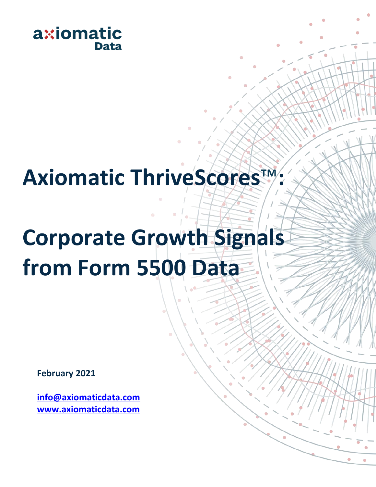

# **Axiomatic ThriveScores**™**:**

# **Corporate Growth Signals from Form 5500 Data**

**February 2021**

**[info@axiomaticdata.com](mailto:info@axiomaticdata.com) [www.axiomaticdata.com](http://www.axiomaticdata.com/)**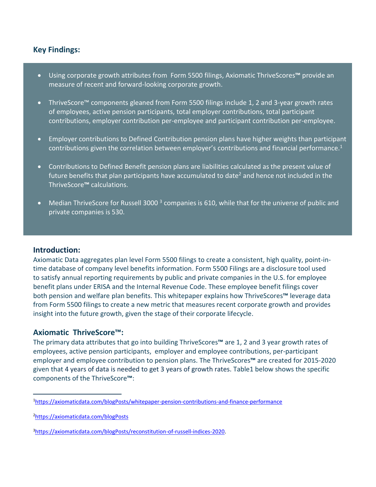## **Key Findings:**

- Using corporate growth attributes from Form 5500 filings, Axiomatic ThriveScores**™** provide an measure of recent and forward-looking corporate growth.
- ThriveScore™ components gleaned from Form 5500 filings include 1, 2 and 3-year growth rates of employees, active pension participants, total employer contributions, total participant contributions, employer contribution per-employee and participant contribution per-employee.
- Employer contributions to Defined Contribution pension plans have higher weights than participant contributions given the correlation between employer's contributions and financial performance.<sup>1</sup>
- Contributions to Defined Benefit pension plans are liabilities calculated as the present value of future benefits that plan participants have accumulated to date<sup>2</sup> and hence not included in the ThriveScore**™** calculations.
- Median ThriveScore for Russell 3000<sup>3</sup> companies is 610, while that for the universe of public and private companies is 530.

#### **Introduction:**

Axiomatic Data aggregates plan level Form 5500 filings to create a consistent, high quality, point-intime database of company level benefits information. Form 5500 Filings are a disclosure tool used to satisfy annual reporting requirements by public and private companies in the U.S. for employee benefit plans under ERISA and the Internal Revenue Code. These employee benefit filings cover both pension and welfare plan benefits. This whitepaper explains how ThriveScores**™** leverage data from Form 5500 filings to create a new metric that measures recent corporate growth and provides insight into the future growth, given the stage of their corporate lifecycle.

#### **Axiomatic ThriveScore™:**

The primary data attributes that go into building ThriveScores**™** are 1, 2 and 3 year growth rates of employees, active pension participants, employer and employee contributions, per-participant employer and employee contribution to pension plans. The ThriveScores**™** are created for 2015-2020 given that 4 years of data is needed to get 3 years of growth rates. Table1 below shows the specific components of the ThriveScore**™**:

<sup>1</sup><https://axiomaticdata.com/blogPosts/whitepaper-pension-contributions-and-finance-performance>

<sup>2</sup><https://axiomaticdata.com/blogPosts>

<sup>3</sup>[https://axiomaticdata.com/blogPosts/reconstitution-of-russell-indices-2020.](https://axiomaticdata.com/blogPosts/reconstitution-of-russell-indices-2020)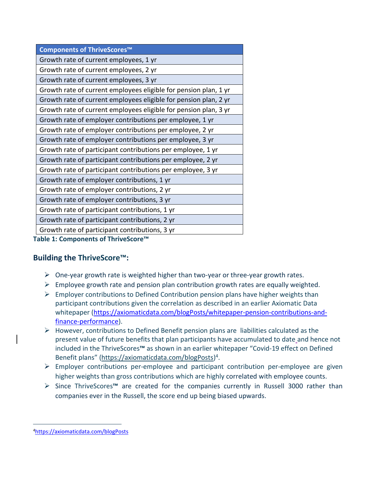| Components of ThriveScores™                                      |  |  |  |
|------------------------------------------------------------------|--|--|--|
| Growth rate of current employees, 1 yr                           |  |  |  |
| Growth rate of current employees, 2 yr                           |  |  |  |
| Growth rate of current employees, 3 yr                           |  |  |  |
| Growth rate of current employees eligible for pension plan, 1 yr |  |  |  |
| Growth rate of current employees eligible for pension plan, 2 yr |  |  |  |
| Growth rate of current employees eligible for pension plan, 3 yr |  |  |  |
| Growth rate of employer contributions per employee, 1 yr         |  |  |  |
| Growth rate of employer contributions per employee, 2 yr         |  |  |  |
| Growth rate of employer contributions per employee, 3 yr         |  |  |  |
| Growth rate of participant contributions per employee, 1 yr      |  |  |  |
| Growth rate of participant contributions per employee, 2 yr      |  |  |  |
| Growth rate of participant contributions per employee, 3 yr      |  |  |  |
| Growth rate of employer contributions, 1 yr                      |  |  |  |
| Growth rate of employer contributions, 2 yr                      |  |  |  |
| Growth rate of employer contributions, 3 yr                      |  |  |  |
| Growth rate of participant contributions, 1 yr                   |  |  |  |
| Growth rate of participant contributions, 2 yr                   |  |  |  |
| Growth rate of participant contributions, 3 yr                   |  |  |  |
| <b>Fable 1: Components of ThriveScore™</b>                       |  |  |  |

## **Building the ThriveScore™:**

- $\triangleright$  One-year growth rate is weighted higher than two-year or three-year growth rates.
- $\triangleright$  Employee growth rate and pension plan contribution growth rates are equally weighted.
- $\triangleright$  Employer contributions to Defined Contribution pension plans have higher weights than participant contributions given the correlation as described in an earlier Axiomatic Data whitepaper [\(https://axiomaticdata.com/blogPosts/whitepaper-pension-contributions-and](https://axiomaticdata.com/blogPosts/whitepaper-pension-contributions-and-finance-performance)[finance-performance\)](https://axiomaticdata.com/blogPosts/whitepaper-pension-contributions-and-finance-performance).
- $\triangleright$  However, contributions to Defined Benefit pension plans are liabilities calculated as the present value of future benefits that plan participants have accumulated to date and hence not included in the ThriveScores**™** as shown in an earlier whitepaper "Covid-19 effect on Defined Benefit plans" [\(https://axiomaticdata.com/blogPosts\)](https://axiomaticdata.com/blogPosts)<sup>4</sup>.
- ➢ Employer contributions per-employee and participant contribution per-employee are given higher weights than gross contributions which are highly correlated with employee counts.
- ➢ Since ThriveScores**™** are created for the companies currently in Russell 3000 rather than companies ever in the Russell, the score end up being biased upwards.

<sup>4</sup><https://axiomaticdata.com/blogPosts>